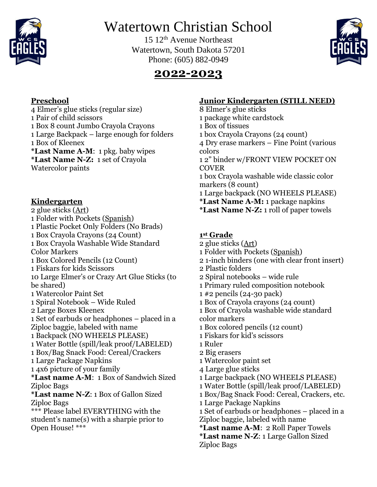

# Watertown Christian School

15 12th Avenue Northeast Watertown, South Dakota 57201 Phone: (605) 882-0949



## **2022-2023**

### **Preschool**

4 Elmer's glue sticks (regular size) 1 Pair of child scissors 1 Box 8 count Jumbo Crayola Crayons 1 Large Backpack – large enough for folders 1 Box of Kleenex **\*Last Name A-M**: 1 pkg. baby wipes **\*Last Name N-Z:** 1 set of Crayola

Watercolor paints

### **Kindergarten**

2 glue sticks (Art) 1 Folder with Pockets (Spanish) 1 Plastic Pocket Only Folders (No Brads) 1 Box Crayola Crayons (24 Count) 1 Box Crayola Washable Wide Standard Color Markers 1 Box Colored Pencils (12 Count) 1 Fiskars for kids Scissors 10 Large Elmer's or Crazy Art Glue Sticks (to be shared) 1 Watercolor Paint Set 1 Spiral Notebook – Wide Ruled 2 Large Boxes Kleenex 1 Set of earbuds or headphones – placed in a Ziploc baggie, labeled with name 1 Backpack (NO WHEELS PLEASE) 1 Water Bottle (spill/leak proof/LABELED) 1 Box/Bag Snack Food: Cereal/Crackers 1 Large Package Napkins 1 4x6 picture of your family **\*Last name A-M**: 1 Box of Sandwich Sized Ziploc Bags **\*Last name N-Z**: 1 Box of Gallon Sized Ziploc Bags \*\*\* Please label EVERYTHING with the student's name(s) with a sharpie prior to Open House! \*\*\*

### **Junior Kindergarten (STILL NEED)**

8 Elmer's glue sticks 1 package white cardstock 1 Box of tissues 1 box Crayola Crayons (24 count) 4 Dry erase markers – Fine Point (various colors 1 2" binder w/FRONT VIEW POCKET ON COVER 1 box Crayola washable wide classic color markers (8 count) 1 Large backpack (NO WHEELS PLEASE) **\*Last Name A-M:** 1 package napkins **\*Last Name N-Z:** 1 roll of paper towels

#### **1 st Grade**

2 glue sticks (Art) 1 Folder with Pockets (Spanish) 2 1-inch binders (one with clear front insert) 2 Plastic folders 2 Spiral notebooks – wide rule 1 Primary ruled composition notebook 1 #2 pencils (24-30 pack) 1 Box of Crayola crayons (24 count) 1 Box of Crayola washable wide standard color markers 1 Box colored pencils (12 count) 1 Fiskars for kid's scissors 1 Ruler 2 Big erasers 1 Watercolor paint set 4 Large glue sticks 1 Large backpack (NO WHEELS PLEASE) 1 Water Bottle (spill/leak proof/LABELED) 1 Box/Bag Snack Food: Cereal, Crackers, etc. 1 Large Package Napkins 1 Set of earbuds or headphones – placed in a Ziploc baggie, labeled with name **\*Last name A-M**: 2 Roll Paper Towels **\*Last name N-Z**: 1 Large Gallon Sized

Ziploc Bags